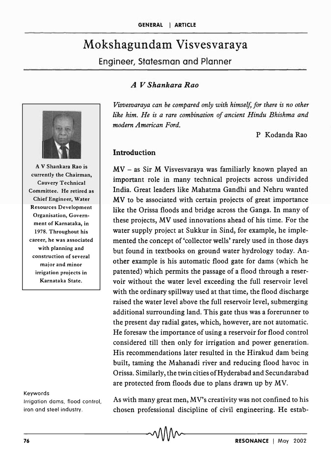# Mokshagundam Visvesvaraya

Engineer, Statesman and Planner

## *A V Shankara Rao*

*Visvesvaraya can be compared only with himself, for there* is *no other like him. He is a rare combination of ancient Hindu Bhishma and modern American Ford.* 

P Kodanda Rao

#### Introduction

MV - as Sir M Visvesvaraya was familiarly known played an important role in many technical projects across undivided India. Great leaders like Mahatma Gandhi and Nehru wanted MV to be associated with certain projects of great importance like the Orissa floods and bridge across the Ganga. In many of these projects, MV used innovations ahead of his time. For the water supply project at Sukkur in Sind, for example, he implemented the concept of 'collector wells' rarely used in those days but found in textbooks on ground water hydrology today. Another example is his automatic flood gate for dams (which he patented) which permits the passage of a flood through a reservoir without the water level exceeding the full reservoir level with the ordinary spillway used at that time, the flood discharge raised the water level above the full reservoir level, submerging additional surrounding land. This gate thus was a forerunner to the present day radial gates, which, however, are not automatic. He foresaw the importance of using a reservoir for flood control considered till then only for irrigation and power generation. His recommendations later resulted in the Hirakud dam being built, taming the Mahanadi river and reducing flood havoc in Orissa. Similarly, the twin cities ofHyderabad and Secundarabad are protected from floods due to plans drawn up by MV.

#### Keywords

Irrigation dams, flood control, iron and steel industry.

As with many great men, MV's creativity was not confined to his chosen professional discipline of civil engineering. He estab-



A V Shankara Rao is currently the Chairman, Cauvery Technical Committee. He retired as Chief Engineer, Water Resources Development Organisation, Government of Karnataka, in 1978. Throughout his career, he was associated with planning and construction of several major and minor irrigation projects in Karnataka State.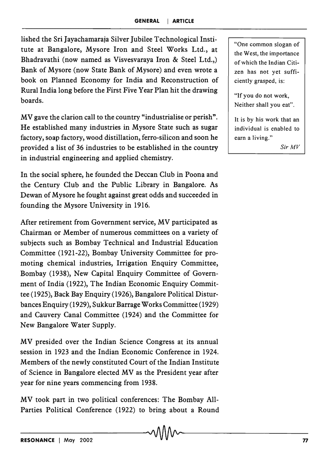lished the Sri Jayachamaraja Silver Jubilee Technological Institute at Bangalore, Mysore Iron and Steel Works Ltd., at Bhadravathi (now named as Visvesvaraya Iron & Steel Ltd.,) Bank of Mysore (now State Bank of Mysore) and even wrote a book on Planned Economy for India and Reconstruction of Rural India long before the First Five Year Plan hit the drawing boards.

MV gave the clarion call to the country "industrialise or perish". He established many industries in Mysore State such as sugar factory, soap factory, wood distillation, ferro-silicon and soon he provided a list of 36 industries to be established in the country in industrial engineering and applied chemistry.

In the social sphere, he founded the Deccan Club in Poona and the Century Club and the Public Library in Bangalore. As Dewan of Mysore he fought against great odds and succeeded in founding the Mysore University in 1916.

After retirement from Government service, MV participated as Chairman or Member of numerous committees on a variety of subjects such as Bombay Technical and Industrial Education Committee (1921-22), Bombay University Committee for promoting chemical industries, Irrigation Enquiry Committee, Bombay (1938), New Capital Enquiry Committee of Government of India (1922), The Indian Economic Enquiry Committee (1925), Back Bay Enquiry (1926), Bangalore Political Disturbances Enquiry (1929), Sukkur Barrage Works Committee (1929) and Cauvery Canal Committee (1924) and the Committee for New Bangalore Water Supply.

MV presided over the Indian Science Congress at its annual session in 1923 and the Indian Economic Conference in 1924. Members of the newly constituted Court of the Indian Institute of Science in Bangalore elected MV as the President year after year for nine years commencing from 1938.

MV took part in two political conferences: The Bombay All-Parties Political Conference (1922) to bring about a Round

"One common slogan of the West, the importance of which the Indian Citizen has not yet sufficiently grasped, is:

'If you do not work, Neither shall you eat".

It is by his work that an individual is enabled to earn a living."

*SirMV*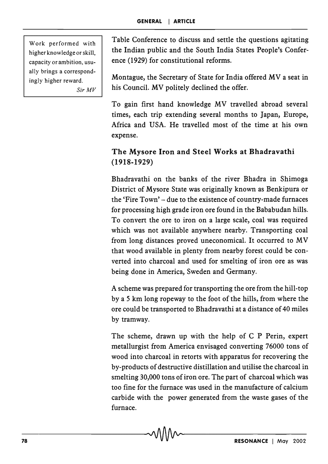Work performed with higher knowledge or skill, capacity or ambition, usually brings a correspondingly higher reward. *SirMV* 

Table Conference to discuss and settle the questions agitating the Indian public and the South India States People's Conference (1929) for constitutional reforms.

Montague, the Secretary of State for India offered MV a seat in his Council. MV politely declined the offer.

To gain first hand knowledge MV travelled abroad several times, each trip extending several months to Japan, Europe, Africa and USA. He travelled most of the time at his own expense.

## The Mysore Iron and Steel Works at Bhadravathi (1918-1929)

Bhadravathi on the banks of the river Bhadra in Shimoga District of Mysore State was originally known as Benkipura or the 'Fire Town' - due to the existence of country-made furnaces for processing high grade iron ore found in the Bababudan hills. To convert the ore to iron on a large scale, coal was required which was not available anywhere nearby. Transporting coal from long distances proved uneconomical. It occurred to MV that wood available in plenty from nearby forest could be converted into charcoal and used for smelting of iron ore as was being done in America, Sweden and Germany.

A scheme was prepared for transporting the ore from the hill-top by a 5 km long ropeway to the foot of the hills, from where the ore could be transported to Bhadravathi at a distance of 40 miles by tramway.

The scheme, drawn up with the help of C P Perin, expert metallurgist from America envisaged converting 76000 tons of wood into charcoal in retorts with apparatus for recovering the by-products of destructive distillation and utilise the charcoal in smelting 30,000 tons of iron ore. The part of charcoal which was too fine for the furnace was used in the manufacture of calcium carbide with the power generated from the waste gases of the furnace.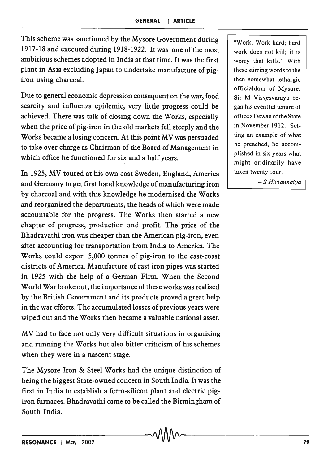This scheme was sanctioned by the Mysore Government during 1917-18 and executed during 1918-1922. It was one of the most ambitious schemes adopted in India at that time. It was the first plant in Asia excluding Japan to undertake manufacture of pigiron using charcoal.

Due to general economic depression consequent on the war, food scarcity and influenza epidemic, very little progress could be achieved. There was talk of closing down the Works, especially when the price of pig-iron in the old markets fell steeply and the Works became a losing concern. At this point MV was persuaded to take over charge as Chairman of the Board of Management in which office he functioned for six and a half years.

In 1925, MV toured at his own cost Sweden, England, America and Germany to get first hand knowledge of manufacturing iron by charcoal and with this knowledge he modernised the Works and reorganised the departments, the heads of which were made accountable for the progress. The Works then started a new chapter of progress, production and profit. The price of the Bhadravathi iron was cheaper than the American pig-iron, even after accounting for transportation from India to America. The Works could export 5,000 tonnes of pig-iron to the east-coast districts of America. Manufacture of cast iron pipes was started in 1925 with the help of a German Firm. When the Second World War broke out, the importance of these works was realised by the British Government and its products proved a great help in the war efforts. The accumulated losses of previous years were wiped out and the Works then became a valuable national asset.

MV had to face not only very difficult situations in organising and running the Works but also bitter criticism of his schemes when they were in a nascent stage.

The Mysore Iron & Steel Works had the unique distinction of being the biggest State-owned concern in South India. It was the first in India to establish a ferro-silicon plant and electric pigiron furnaces. Bhadravathi came to be called the Birmingham of South India.

"Work, Work hard; hard work does not kill; it is worry that kills." With these stirring words to the then somewhat lethargic officialdom of Mysore, Sir M Visvesvaraya began his eventful tenure of office aDewanofthe State in November 1912. Setting an example of what he preached, he accomplished in six years what might oridinarily have taken twenty four.

- S *Hiriannaiya*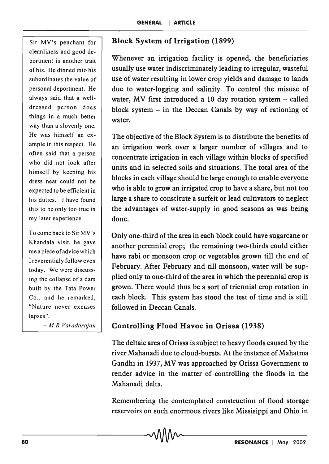Sir MV's penchant for cleanliness and good deportment is another trait of his. He dinned into h'is subordinates the value of personal deportment. He always said that a welldressed person does things in a much better way than a slovenly one. He was himself an example in this respect. He often said that a person who did not look after himself by keeping his dress neat could not be expected to be efficient in his duties. I have found this to be only too true in my later experience.

To come back to Sir MV's Khandala visit, he gave me a piece of advice which I reverentialy follow even today. We were discussing the collapse of a dam built by the Tata Power Co., and he remarked, "Nature never excuses lapses".

*- M R Varadarajan* 

### Block System of Irrigation (1899)

Whenever an irrigation facility is opened, the beneficiaries usually use water indiscriminately leading to irregular, wasteful use of water resulting in lower crop yields and damage to lands due to water-logging and salinity. To control the misuse of water, MV first introduced a 10 day rotation system  $-$  called block system  $-$  in the Deccan Canals by way of rationing of water.

The objective of the Block System is to distribute the benefits of an irrigation work over a larger number of villages and to concentrate irrigation in each village within blocks of specified units and in selected soils and situations. The total area of the blocks in each village should be large enough to enable everyone who is able to grow an irrigated crop to have a share, but not too large a share to constitute a surfeit or lead cultivators to neglect the advantages of water-supply in good seasons as was being done.

Only one-third of the area in each block could have sugarcane or another perennial crop; the remaining two-thirds could either have rabi or monsoon crop or vegetables grown till the end of February. After February and till monsoon, water will be supplied only to one-third of the area in which the perennial crop is grown. There would thus be a sort of triennial crop rotation in each block. This system has stood the test of time and is still followed in Deccan Canals.

#### Controlling Flood Havoc in Orissa (1938)

The deltaic area of Orissa is subject to heavy floods caused by the river Mahanadi due to cloud-bursts. At the instance of Mahatma Gandhi in 1937, MV was approached by Orissa Government to render advice in the matter of controlling the floods in the Mahanadi delta.

Remembering the contemplated construction of flood storage reservoirs on such enormous rivers like Missisippi and Ohio in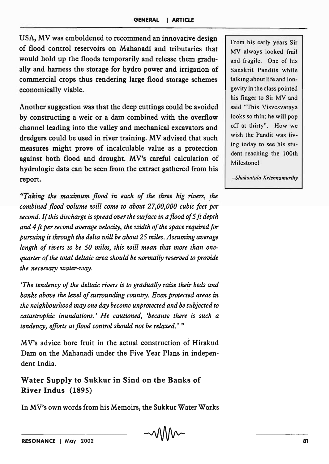USA, MV was emboldened to recommend an innovative design of flood control reservoirs on Mahanadi and tributaries that would hold up the floods temporarily and release them gradually and harness the storage for hydro power and irrigation of commercial crops thus rendering large flood storage schemes economically viable.

Another suggestion was that the deep cuttings could be avoided by constructing a weir or a dam combined with the overflow channel leading into the valley and mechanical excavators and dredgers could be used in river training. MV advised that such measures might prove of incalculable value as a protection against both flood and drought. MV's careful calculation of hydrologic data can be seen from the extract gathered from his report.

"Taking the maximum flood in each of the three big rivers, the *combined flood volume will come to about 27,00,000 cubic feet per second. If this discharge is spread over the surface in a flood of* 5 ft *depth and* 4 ft *per second average velocity, the width of the space required for pursuing it through the delta will be about* 25 *miles. Assuming average length of rivers to be 50 miles, this will mean that more than onequarter of the total deltaic area should be normally reserved to provide the necessary water-way.* 

*'The tendency of the deltaic rivers is to gradually raise their beds and banks above the level of surrounding country. Even protected areas in the neighbourhood may one day become unprotected and be subjected to catastrophic inundations.' He cautioned, 'because there is such a tendency, efforts at flood control should not be relaxed.* ' "

MV's advice bore fruit in the actual construction of Hirakud Dam on the Mahanadi under the Five Year Plans in independent India.

Water Supply to Sukkur in Sind on the Banks of River Indus (1895)

In MV's own words from his Memoirs, the Sukkur Water Works

From his early years Sir MV always looked frail and fragile. One of his Sanskrit Pandits while talking about life and longevity in the class pointed his finger to Sir MV and said "This Visvesvaraya looks so thin; he will pop off at thirty". How we wish the Pandit was living today to see his student reaching the 100th Milestone!

*-Shakuntala Krishnamurthy*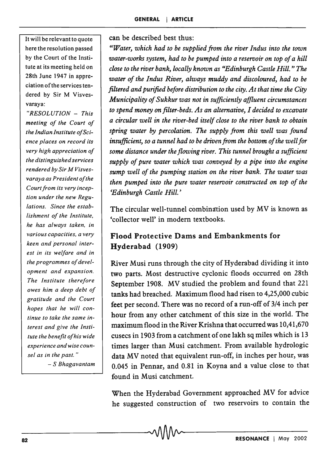It will be relevant to quote here the resolution passed by the Court of the Institute at its meeting held on 28th June 1947 in appreciation of the services tendered by Sir M Visvesvaraya:

*"RESOLUTION* - *This meeting of the Court of the Indianlnstitute ofScience places on record its, very high appreciation of the distinguished services rendered by Sir M Visves* $varaya$  as President of the Court from its very incep*tion under the new Regulations. Since the establishment of the Institute, he has always taken, in various capacities, a very keen and personal interest in its welfare and in the programmes oj development and expansion. The Institute thereJore owes him a deep debt oj gratitude and the Court hopes that he will continue to take the same interest and give the Institute the benefit oJhis wide experience and wise counsel as in the past. "* 

- S *Bhagavantam* 

can be described best thus:

*"Water, which had to be supplied from the river Indus into the town water-works system, had to be pumped into a reservoir on top of a hill close to the river bank, locally known as "Edinburgh Castle Hill.* " *The water of the Indus River, always muddy and discoloured, had to be filtered and purified before distribution to the city. At that time the City Municipality of Sukkur was not in sufficiently affluent circumstances to spend money on filter-beds. As an alternative, I decided to excavate a circular well in the river-bed itself close to the river bank to obtain spring water by percolation. The supply from this well was found insufficient, so a tunnel had to be driven from the bottom of the well for some distance under the flowing river. This tunnel brought a sufficient supply of pure water which was conveyed by a pipe into the engine sump well of the pumping station on the river bank. The water was then pumped into the pure water reservoir constructed on top of the 'Edinburgh Castle Hill.'* 

The circular well-tunnel combination used by MV is known as 'collector well' in modem textbooks.

#### Flood Protective Dams and Embankments for Hyderabad (1909)

River Musi runs through the city of Hyderabad dividing it into two parts. Most destructive cyclonic floods occurred on 28th September 1908. MV studied the problem and found that 221 tanks had breached. Maximum flood had risen to 4,25,000 cubic feet per second. There was no record of a run-off of 3/4 inch per hour from any other catchment of this size in the world. The maximum flood in the River Krishna that occurred was 10,41,670 cusecs in 1903 from a catchment of one lakh sq miles which is 13 times larger than Musi catchment. From available hydrologic data MV noted that equivalent run-off, in inches per hour, was 0.045 in Pennar, and 0.81 in Koyna and a value close to that found in Musi catchment.

When the Hyderabad Government approached MV for advice he suggested construction of two reservoirs to contain the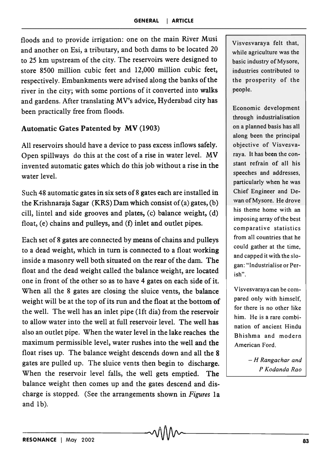floods and to provide irrigation: one on the main River Musi and another on Esi, a tributary, and both dams to be located 20 to 25 km upstream of the city. The reservoirs were designed to store 8500 million cubic feet and 12,000 million cubic feet, respectively. Embankments were advised along the banks of the river in the city; with some portions of it converted into walks and gardens. After translating MV's advice, Hyderabad city has been practically free from floods.

#### Automatic Gates Patented by MV (1903)

All reservoirs should have a device to pass excess inflows safely. Open spillways do this at the cost of a rise in water level.  $MV$ invented automatic gates which do this job without a rise in the water level.

Such 48 automatic gates in six sets of 8 gates each are installed in the Krishnaraja Sagar (KRS) Dam which consist of (a) gates, (b) cill, lintel and side grooves and plates, (c) balance weight, (d) float, (e) chains and pulleys, and (f) inlet and outlet pipes.

Each set of 8 gates are connected by means of chains and pulleys to a dead weight, which in turn is connected to a float working inside a masonry well both situated on the rear of the dam. The float and the dead weight called the balance weight, are located one in front of the other so as to have 4 gates on each side of it. When all the 8 gates are closing the sluice vents, the balance weight will be at the top of its run and the float at the bottom of the well. The well has an inlet pipe (lft dia) from the reservoir to allow water into the well at full reservoir level. The well has also an outlet pipe. When the water level in the lake reaches the maximum permissible level, water rushes into the well and the float rises up. The balance weight descends down and all the 8 gates are pulled up. The sluice vents then begin to discharge. When the reservoir level falls, the well gets emptied. The balance weight then comes up and the gates descend and discharge is stopped. (See the arrangements shown in *Figures* la and Ib).

Visvesvaraya felt that, while agriculture was the basic industry of Mysore, industries contributed to the prosperity of the people.

Economic development through industrialisation on a planned basis has all along been the principal objective of Visvesvaraya. It has been the constant refrain of all his speeches and addresses, particularly when he was Chief Engineer and Dewan of Mysore. He drove his theme home with an imposing array ofthe best comparative statistics from all countries that he could gather at the time, and capped it with the slogan: "Industrialise or Perish".

Visvesvaraya can be compared only with himself, for there is no other like him. He is a rare combination of ancient Hindu Bhishma and modern American Ford.

> *- H Rangachar and P Kodanda Rao*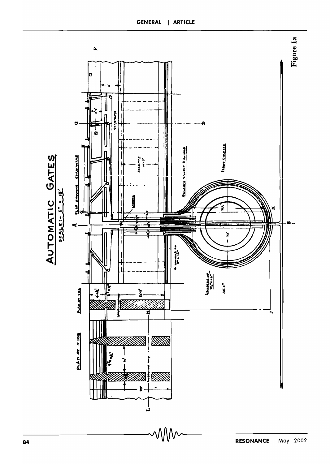